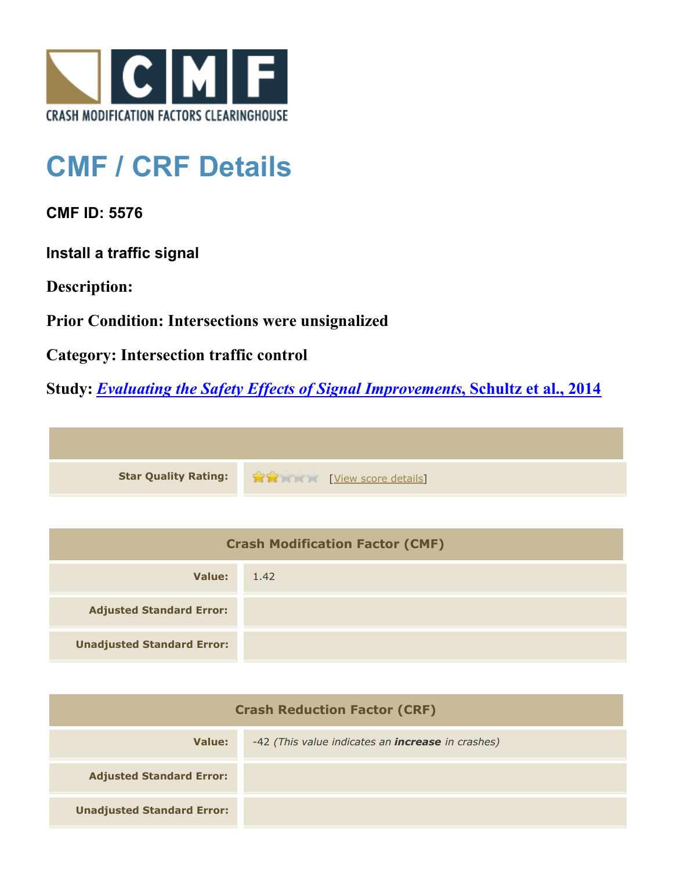

## **CMF / CRF Details**

**CMF ID: 5576**

**Install a traffic signal**

**Description:** 

**Prior Condition: Intersections were unsignalized**

**Category: Intersection traffic control**

**Study:** *[Evaluating the Safety Effects of Signal Improvements](http://www.cmfclearinghouse.org/study_detail.cfm?stid=364)***[, Schultz et al., 2014](http://www.cmfclearinghouse.org/study_detail.cfm?stid=364)**



| <b>Crash Modification Factor (CMF)</b> |      |  |
|----------------------------------------|------|--|
| Value:                                 | 1.42 |  |
| <b>Adjusted Standard Error:</b>        |      |  |
| <b>Unadjusted Standard Error:</b>      |      |  |

| <b>Crash Reduction Factor (CRF)</b> |                                                          |  |
|-------------------------------------|----------------------------------------------------------|--|
| Value:                              | -42 (This value indicates an <b>increase</b> in crashes) |  |
| <b>Adjusted Standard Error:</b>     |                                                          |  |
| <b>Unadjusted Standard Error:</b>   |                                                          |  |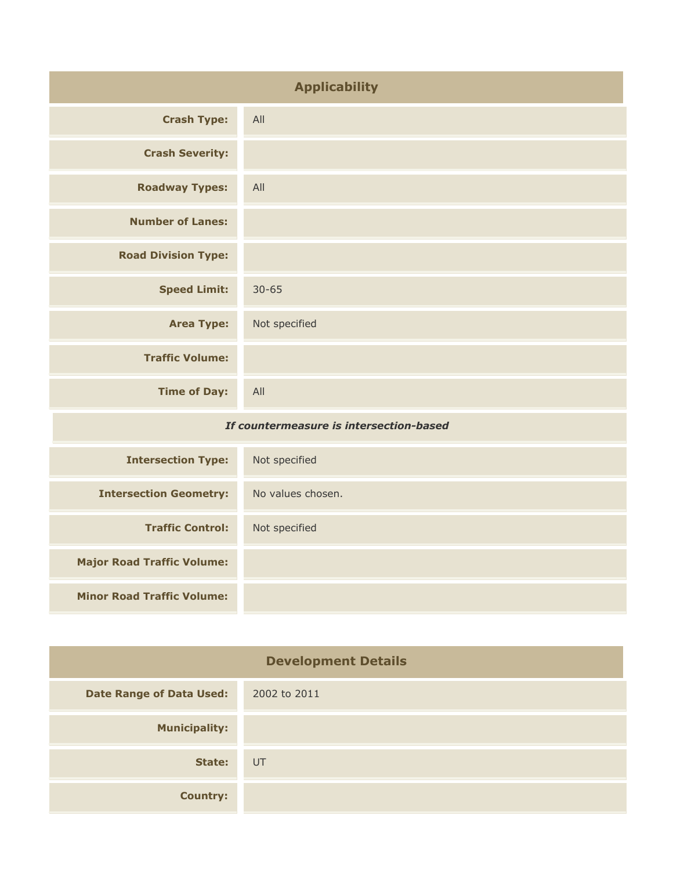| <b>Applicability</b>                    |                   |
|-----------------------------------------|-------------------|
| <b>Crash Type:</b>                      | All               |
| <b>Crash Severity:</b>                  |                   |
| <b>Roadway Types:</b>                   | All               |
| <b>Number of Lanes:</b>                 |                   |
| <b>Road Division Type:</b>              |                   |
| <b>Speed Limit:</b>                     | $30 - 65$         |
| <b>Area Type:</b>                       | Not specified     |
| <b>Traffic Volume:</b>                  |                   |
| <b>Time of Day:</b>                     | All               |
| If countermeasure is intersection-based |                   |
| <b>Intersection Type:</b>               | Not specified     |
| <b>Intersection Geometry:</b>           | No values chosen. |
| <b>Traffic Control:</b>                 | Not specified     |
| <b>Major Road Traffic Volume:</b>       |                   |

**Minor Road Traffic Volume:**

| <b>Development Details</b>      |              |
|---------------------------------|--------------|
| <b>Date Range of Data Used:</b> | 2002 to 2011 |
| <b>Municipality:</b>            |              |
| State:                          | UT           |
| <b>Country:</b>                 |              |